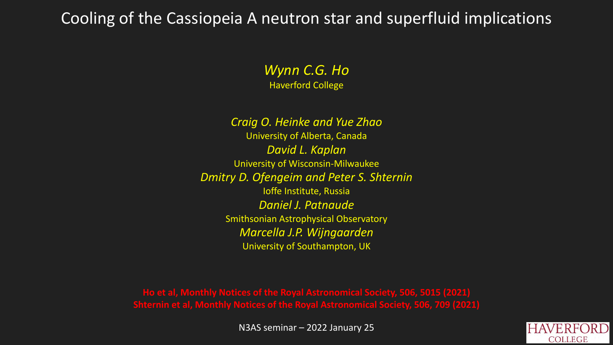## Cooling of the Cassiopeia A neutron star and superfluid implications

*Wynn C.G. Ho* Haverford College

*Craig O. Heinke and Yue Zhao* University of Alberta, Canada *David L. Kaplan* University of Wisconsin-Milwaukee *Dmitry D. Ofengeim and Peter S. Shternin* Ioffe Institute, Russia *Daniel J. Patnaude* Smithsonian Astrophysical Observatory *Marcella J.P. Wijngaarden* University of Southampton, UK

**Ho et al, Monthly Notices of the Royal Astronomical Society, 506, 5015 (2021) Shternin et al, Monthly Notices of the Royal Astronomical Society, 506, 709 (2021)**

N3AS seminar – 2022 January 25

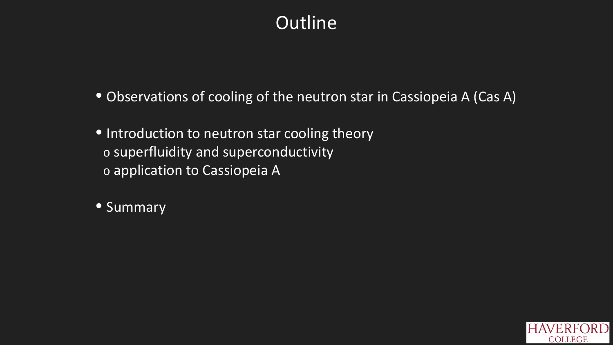# **Outline**

- Observations of cooling of the neutron star in Cassiopeia A (Cas A)
- Introduction to neutron star cooling theory o superfluidity and superconductivity o application to Cassiopeia A
- Summary

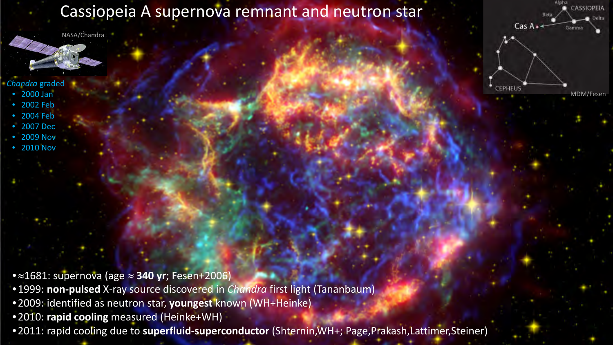### Cassiopeia A supernova remnant and neutron star

NASA/Chandra -

#### *Chandra* graded

- 2000 Jan
- 2002 Feb
- 2004 Feb
- 2007 Dec • 2009 Nov
- 2010 Nov

•≈1681: supernova (age ≈ **340 yr**; Fesen+2006)

- •1999: **non-pulsed** X-ray source discovered in *Chandra* first light (Tananbaum)
- •2009: identified as neutron star, **youngest** known (WH+Heinke)
- •2010: **rapid cooling** measured (Heinke+WH)
- •2011: rapid cooling due to **superfluid-superconductor** (Shternin,WH+; Page,Prakash,Lattimer,Steiner)

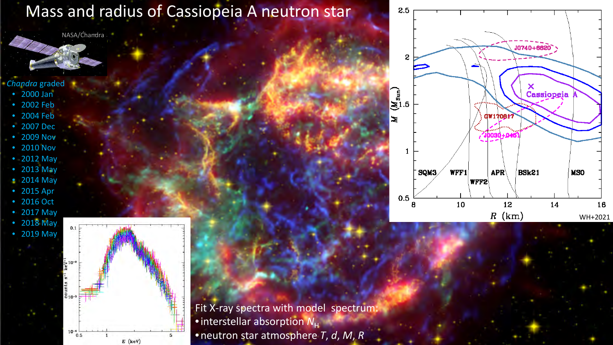## Mass and radius of Cassiopeia A neutron star

NASA/Chandra -

#### *Chandra* graded

- 2000 Jan
- 2002 Feb
- 2004 Feb
- 2007 Dec
- 2009 Nov
- 2010 Nov
- 2012 May
- 2013 May
- 2014 May
- 2015 Apr
- 2016 Oct
- 2017 May • 2018 May
- 2019 May  $\frac{6}{10}$  $10 0.5$  $E$  (keV)

Fit X-ray spectra with model spectrum: • interstellar absorption  $N_{\rm H}$ •neutron star atmosphere *T*, *d*, *M*, *R*

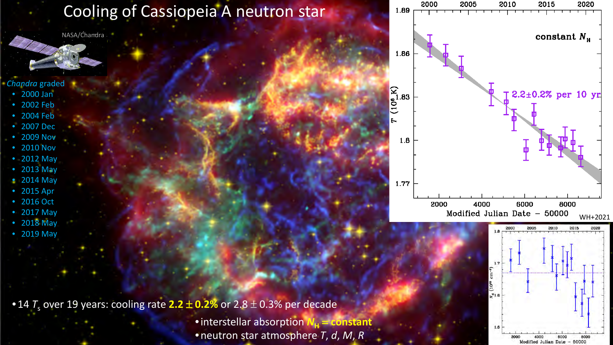## Cooling of Cassiopeia A neutron star

NASA/Chandra -

### *Chandra* graded

- 2000 Jan
- 2002 Feb
- 2004 Feb
- 2007 Dec
- 2009 Nov
- 2010 Nov
- 2012 May
- 2013 May
- 2014 May
- 2015 Apr
- 2016 Oct
- 2017 May
- 2018 May
- 2019 May

• 14  $T_s$  over 19 years: cooling rate 2.2  $\pm$  0.2% or 2.8  $\pm$  0.3% per decade • interstellar absorption  $N<sub>H</sub>$  = **constant** 

•neutron star atmosphere *T*, *d*, *M*, *R*



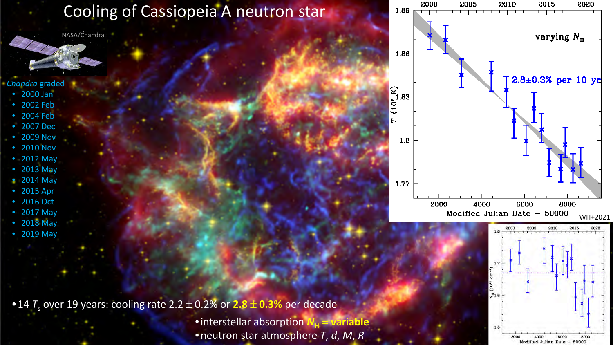## Cooling of Cassiopeia A neutron star

NASA/Chandra -

### *Chandra* graded

- 2000 Jan
- 2002 Feb
- 2004 Feb
- 2007 Dec
- 2009 Nov
- 2010 Nov
- 2012 May
- 2013 May
- 2014 May
- 2015 Apr
- 2016 Oct
- 2017 May
- 2018 May
- 2019 May

• 14  $T_s$  over 19 years: cooling rate 2.2  $\pm$  0.2% or 2.8  $\pm$  0.3% per decade

• interstellar absorption  $N_H$  = **variable** •neutron star atmosphere *T*, *d*, *M*, *R*



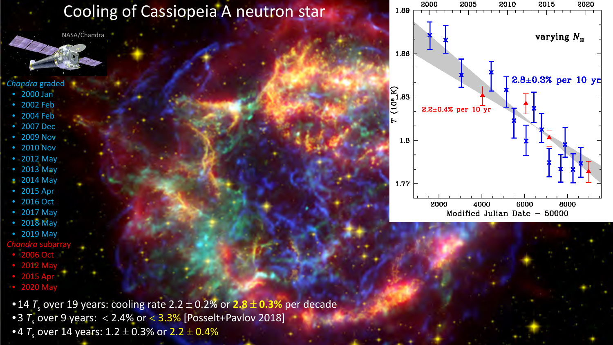## Cooling of Cassiopeia A neutron star

NASA/Chandra -

### *Chandra* graded

- 2000 Jan
- 2002 Feb
- 2004 Feb
- 2007 Dec
- 2009 Nov
- 2010 Nov
- 2012 May
- 2013 May
- 2014 May
- 2015 Apr
- 2016 Oct
- 2017 May
- 2018 May
- 2019 May
- *Chandra* subarray
- 2006 Oct
- 2012 May
- 2015 Apr
- 2020 May
- 14  $\overline{T}_s$  over 19 years: cooling rate 2.2  $\pm$  0.2% or 2.8  $\pm$  0.3% per decade
- 3  $T_s$  over 9 years:  $<$  2.4% or  $<$  3.3% [Posselt+Pavlov 2018]
- •4  $T_s$  over 14 years: 1.2  $\pm$  0.3% or 2.2  $\pm$  0.4%

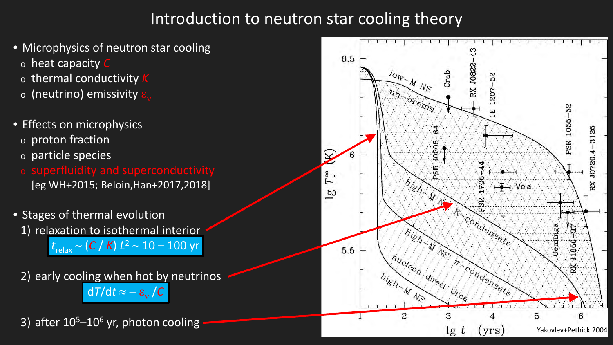## Introduction to neutron star cooling theory

- Microphysics of neutron star cooling
	- <sup>o</sup> heat capacity *C*
	- <sup>o</sup> thermal conductivity *K*
	- $\circ$  (neutrino) emissivity
- Effects on microphysics
	- <sup>o</sup> proton fraction
	- <sup>o</sup> particle species
	- <sup>o</sup> superfluidity and superconductivity [eg WH+2015; Beloin,Han+2017,2018]
- Stages of thermal evolution 1) relaxation to isothermal interior

*t*relax ∼ (*C* / *K*) *L*<sup>2</sup> ∼ 10 – 100 yr

2) early cooling when hot by neutrinos  $dT/dt \approx -\varepsilon_v / C$ 



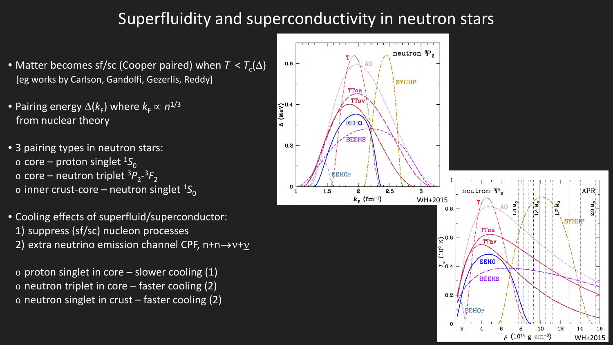## Superfluidity and superconductivity in neutron stars

 $0.6$ 

 $(XeV)$ 

 $0.2$ 

- Matter becomes sf/sc (Cooper paired) when  $T < T_c(\Delta)$ [eg works by Carlson, Gandolfi, Gezerlis, Reddy]
- Pairing energy  $\Delta(k_F)$  where  $k_F \propto n^{1/3}$ from nuclear theory
- 3 pairing types in neutron stars:  $\circ$  core – proton singlet <sup>1</sup>S<sub>0</sub>  $\circ$  core – neutron triplet  ${}^{3}P_{2}$ <sup>-3</sup> $F_{2}$  $\circ$  inner crust-core – neutron singlet <sup>1</sup>S<sub>0</sub>
- Cooling effects of superfluid/superconductor: 1) suppress (sf/sc) nucleon processes 2) extra neutrino emission channel CPF,  $n+n\rightarrow v+v$ 
	- $\circ$  proton singlet in core slower cooling (1)  $\circ$  neutron triplet in core – faster cooling (2)  $\circ$  neutron singlet in crust – faster cooling (2)

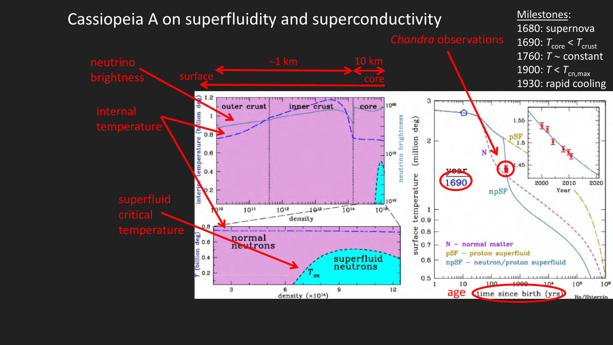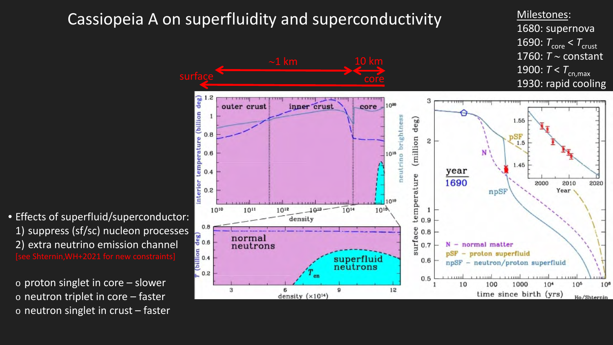

• Effects of superfluid/superconductor: 1) suppress (sf/sc) nucleon processes  $\frac{10.8}{30.6}$  normal .WH+2021 for new constraints

 $\circ$  proton singlet in core – slower  $\circ$  neutron triplet in core – faster  $\circ$  neutron singlet in crust – faster